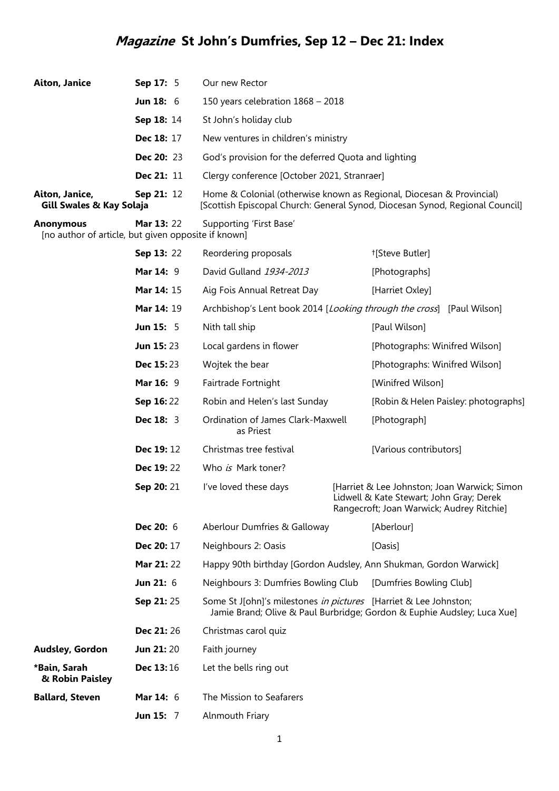## **Magazine St John's Dumfries, Sep 12 – Dec 21: Index**

| <b>Aiton, Janice</b>                                                    | Sep 17: 5           | Our new Rector                                                                                                                                       |
|-------------------------------------------------------------------------|---------------------|------------------------------------------------------------------------------------------------------------------------------------------------------|
|                                                                         | <b>Jun 18:</b> $6$  | 150 years celebration 1868 - 2018                                                                                                                    |
|                                                                         | Sep 18: 14          | St John's holiday club                                                                                                                               |
|                                                                         | Dec 18: 17          | New ventures in children's ministry                                                                                                                  |
|                                                                         | <b>Dec 20: 23</b>   | God's provision for the deferred Quota and lighting                                                                                                  |
|                                                                         | <b>Dec 21:</b> $11$ | Clergy conference [October 2021, Stranraer]                                                                                                          |
| Aiton, Janice,<br>Gill Swales & Kay Solaja                              | Sep 21: 12          | Home & Colonial (otherwise known as Regional, Diocesan & Provincial)<br>[Scottish Episcopal Church: General Synod, Diocesan Synod, Regional Council] |
| <b>Anonymous</b><br>[no author of article, but given opposite if known] | <b>Mar 13: 22</b>   | Supporting 'First Base'                                                                                                                              |

|                                 | Sep 13: 22         | Reordering proposals                                             | <sup>†</sup> [Steve Butler]                                                                                                           |
|---------------------------------|--------------------|------------------------------------------------------------------|---------------------------------------------------------------------------------------------------------------------------------------|
|                                 | <b>Mar 14: 9</b>   | David Gulland 1934-2013                                          | [Photographs]                                                                                                                         |
|                                 | Mar 14: 15         | Aig Fois Annual Retreat Day                                      | [Harriet Oxley]                                                                                                                       |
|                                 | Mar 14: 19         |                                                                  | Archbishop's Lent book 2014 [Looking through the cross] [Paul Wilson]                                                                 |
|                                 | <b>Jun 15: 5</b>   | Nith tall ship                                                   | [Paul Wilson]                                                                                                                         |
|                                 | <b>Jun 15:23</b>   | Local gardens in flower                                          | [Photographs: Winifred Wilson]                                                                                                        |
|                                 | <b>Dec 15:23</b>   | Wojtek the bear                                                  | [Photographs: Winifred Wilson]                                                                                                        |
|                                 | Mar 16: 9          | Fairtrade Fortnight                                              | [Winifred Wilson]                                                                                                                     |
|                                 | Sep 16:22          | Robin and Helen's last Sunday                                    | [Robin & Helen Paisley: photographs]                                                                                                  |
|                                 | <b>Dec 18: 3</b>   | Ordination of James Clark-Maxwell<br>as Priest                   | [Photograph]                                                                                                                          |
|                                 | Dec 19:12          | Christmas tree festival                                          | [Various contributors]                                                                                                                |
|                                 | Dec 19:22          | Who is Mark toner?                                               |                                                                                                                                       |
|                                 | Sep 20: 21         | I've loved these days                                            | [Harriet & Lee Johnston; Joan Warwick; Simon<br>Lidwell & Kate Stewart; John Gray; Derek<br>Rangecroft; Joan Warwick; Audrey Ritchie] |
|                                 | Dec 20: 6          | Aberlour Dumfries & Galloway                                     | [Aberlour]                                                                                                                            |
|                                 | Dec 20: 17         | Neighbours 2: Oasis                                              | [Oasis]                                                                                                                               |
|                                 | Mar 21:22          |                                                                  | Happy 90th birthday [Gordon Audsley, Ann Shukman, Gordon Warwick]                                                                     |
|                                 | Jun 21: 6          | Neighbours 3: Dumfries Bowling Club                              | [Dumfries Bowling Club]                                                                                                               |
|                                 | Sep 21:25          | Some St J[ohn]'s milestones in pictures [Harriet & Lee Johnston; | Jamie Brand; Olive & Paul Burbridge; Gordon & Euphie Audsley; Luca Xue]                                                               |
|                                 | <b>Dec 21: 26</b>  | Christmas carol quiz                                             |                                                                                                                                       |
| Audsley, Gordon                 | Jun 21:20          | Faith journey                                                    |                                                                                                                                       |
| *Bain, Sarah<br>& Robin Paisley | Dec 13:16          | Let the bells ring out                                           |                                                                                                                                       |
| <b>Ballard, Steven</b>          | <b>Mar 14:</b> $6$ | The Mission to Seafarers                                         |                                                                                                                                       |
|                                 | Jun 15: 7          | Alnmouth Friary                                                  |                                                                                                                                       |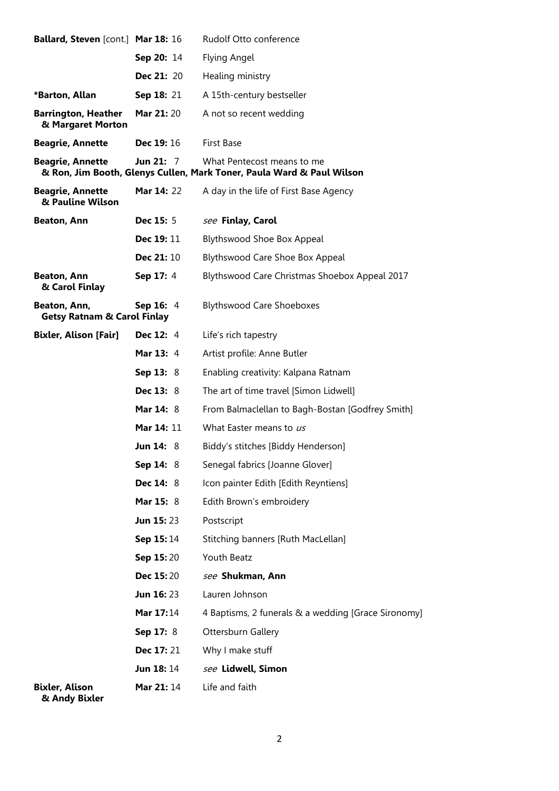| <b>Ballard, Steven</b> [cont.] Mar 18: 16              |                    | Rudolf Otto conference                                                                              |
|--------------------------------------------------------|--------------------|-----------------------------------------------------------------------------------------------------|
|                                                        | Sep 20: 14         | Flying Angel                                                                                        |
|                                                        | <b>Dec 21: 20</b>  | Healing ministry                                                                                    |
| *Barton, Allan                                         | Sep 18: 21         | A 15th-century bestseller                                                                           |
| <b>Barrington, Heather</b><br>& Margaret Morton        | <b>Mar 21: 20</b>  | A not so recent wedding                                                                             |
| <b>Beagrie, Annette</b>                                | <b>Dec 19: 16</b>  | <b>First Base</b>                                                                                   |
| <b>Beagrie, Annette</b>                                | <b>Jun 21:</b> $7$ | What Pentecost means to me<br>& Ron, Jim Booth, Glenys Cullen, Mark Toner, Paula Ward & Paul Wilson |
| <b>Beagrie, Annette</b><br>& Pauline Wilson            | <b>Mar 14: 22</b>  | A day in the life of First Base Agency                                                              |
| <b>Beaton, Ann</b>                                     | <b>Dec 15:</b> 5   | see Finlay, Carol                                                                                   |
|                                                        | <b>Dec 19: 11</b>  | <b>Blythswood Shoe Box Appeal</b>                                                                   |
|                                                        | <b>Dec 21: 10</b>  | Blythswood Care Shoe Box Appeal                                                                     |
| Beaton, Ann<br>& Carol Finlay                          | <b>Sep 17: 4</b>   | Blythswood Care Christmas Shoebox Appeal 2017                                                       |
| Beaton, Ann,<br><b>Getsy Ratnam &amp; Carol Finlay</b> | Sep 16: 4          | <b>Blythswood Care Shoeboxes</b>                                                                    |
| Bixler, Alison [Fair]                                  | <b>Dec 12: 4</b>   | Life's rich tapestry                                                                                |
|                                                        | <b>Mar 13: 4</b>   | Artist profile: Anne Butler                                                                         |
|                                                        | <b>Sep 13: 8</b>   | Enabling creativity: Kalpana Ratnam                                                                 |
|                                                        | <b>Dec 13: 8</b>   | The art of time travel [Simon Lidwell]                                                              |
|                                                        | <b>Mar 14: 8</b>   | From Balmaclellan to Bagh-Bostan [Godfrey Smith]                                                    |
|                                                        | <b>Mar 14: 11</b>  | What Easter means to us                                                                             |
|                                                        | <b>Jun 14: 8</b>   | Biddy's stitches [Biddy Henderson]                                                                  |
|                                                        | <b>Sep 14: 8</b>   | Senegal fabrics [Joanne Glover]                                                                     |
|                                                        | <b>Dec 14: 8</b>   | Icon painter Edith [Edith Reyntiens]                                                                |
|                                                        | Mar 15: 8          | Edith Brown's embroidery                                                                            |
|                                                        | <b>Jun 15: 23</b>  | Postscript                                                                                          |
|                                                        | <b>Sep 15:14</b>   | Stitching banners [Ruth MacLellan]                                                                  |
|                                                        | <b>Sep 15:20</b>   | Youth Beatz                                                                                         |
|                                                        | <b>Dec 15:20</b>   | see Shukman, Ann                                                                                    |
|                                                        | <b>Jun 16: 23</b>  | Lauren Johnson                                                                                      |
|                                                        | <b>Mar 17:</b> 14  | 4 Baptisms, 2 funerals & a wedding [Grace Sironomy]                                                 |
|                                                        | <b>Sep 17: 8</b>   | Ottersburn Gallery                                                                                  |
|                                                        | <b>Dec 17: 21</b>  | Why I make stuff                                                                                    |
|                                                        | <b>Jun 18: 14</b>  | see Lidwell, Simon                                                                                  |
| <b>Bixler, Alison</b>                                  | <b>Mar 21:</b> 14  | Life and faith                                                                                      |

 **& Andy Bixler**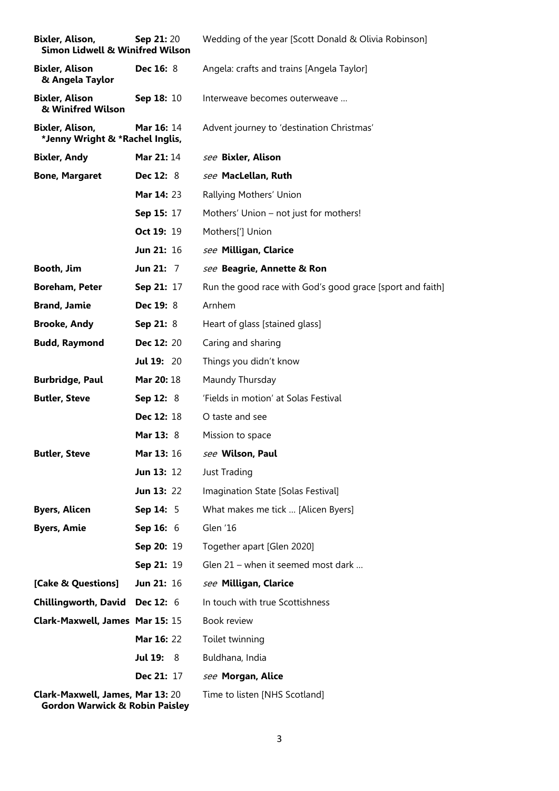| Bixler, Alison,<br><b>Simon Lidwell &amp; Winifred Wilson</b>                 | <b>Sep 21:20</b>      | Wedding of the year [Scott Donald & Olivia Robinson]      |
|-------------------------------------------------------------------------------|-----------------------|-----------------------------------------------------------|
| <b>Bixler, Alison</b><br>& Angela Taylor                                      | <b>Dec 16: 8</b>      | Angela: crafts and trains [Angela Taylor]                 |
| <b>Bixler, Alison</b><br>& Winifred Wilson                                    | Sep 18: 10            | Interweave becomes outerweave                             |
| Bixler, Alison,<br>*Jenny Wright & *Rachel Inglis,                            | <b>Mar 16: 14</b>     | Advent journey to 'destination Christmas'                 |
| <b>Bixler, Andy</b>                                                           | <b>Mar 21: 14</b>     | see Bixler, Alison                                        |
| <b>Bone, Margaret</b>                                                         | <b>Dec 12: 8</b>      | see MacLellan, Ruth                                       |
|                                                                               | Mar 14: 23            | Rallying Mothers' Union                                   |
|                                                                               | Sep 15: 17            | Mothers' Union - not just for mothers!                    |
|                                                                               | Oct 19: 19            | Mothers <sup>[']</sup> Union                              |
|                                                                               | Jun 21: 16            | see Milligan, Clarice                                     |
| Booth, Jim                                                                    | Jun 21: 7             | see Beagrie, Annette & Ron                                |
| <b>Boreham, Peter</b>                                                         | Sep 21: 17            | Run the good race with God's good grace [sport and faith] |
| <b>Brand, Jamie</b>                                                           | <b>Dec 19: 8</b>      | Arnhem                                                    |
| <b>Brooke, Andy</b>                                                           | Sep 21: 8             | Heart of glass [stained glass]                            |
| <b>Budd, Raymond</b>                                                          | <b>Dec 12: 20</b>     | Caring and sharing                                        |
|                                                                               | <b>Jul 19: 20</b>     | Things you didn't know                                    |
| <b>Burbridge, Paul</b>                                                        | <b>Mar 20: 18</b>     | Maundy Thursday                                           |
| <b>Butler, Steve</b>                                                          | <b>Sep 12: 8</b>      | 'Fields in motion' at Solas Festival                      |
|                                                                               | <b>Dec 12: 18</b>     | O taste and see                                           |
|                                                                               | <b>Mar 13: 8</b>      | Mission to space                                          |
| <b>Butler, Steve</b>                                                          | <b>Mar 13: 16</b>     | see Wilson, Paul                                          |
|                                                                               | Jun 13: 12            | Just Trading                                              |
|                                                                               | <b>Jun 13: 22</b>     | Imagination State [Solas Festival]                        |
| <b>Byers, Alicen</b>                                                          | Sep 14: 5             | What makes me tick  [Alicen Byers]                        |
| <b>Byers, Amie</b>                                                            | <b>Sep 16:</b> $6$    | Glen '16                                                  |
|                                                                               | Sep 20: 19            | Together apart [Glen 2020]                                |
|                                                                               | Sep 21: 19            | Glen 21 - when it seemed most dark                        |
| [Cake & Questions]                                                            | <b>Jun 21: 16</b>     | see Milligan, Clarice                                     |
| <b>Chillingworth, David</b>                                                   | <b>Dec 12: 6</b>      | In touch with true Scottishness                           |
| Clark-Maxwell, James Mar 15: 15                                               |                       | Book review                                               |
|                                                                               | Mar 16: 22            | Toilet twinning                                           |
|                                                                               | <b>Jul 19:</b><br>- 8 | Buldhana, India                                           |
|                                                                               | <b>Dec 21: 17</b>     | see Morgan, Alice                                         |
| Clark-Maxwell, James, Mar 13: 20<br><b>Gordon Warwick &amp; Robin Paisley</b> |                       | Time to listen [NHS Scotland]                             |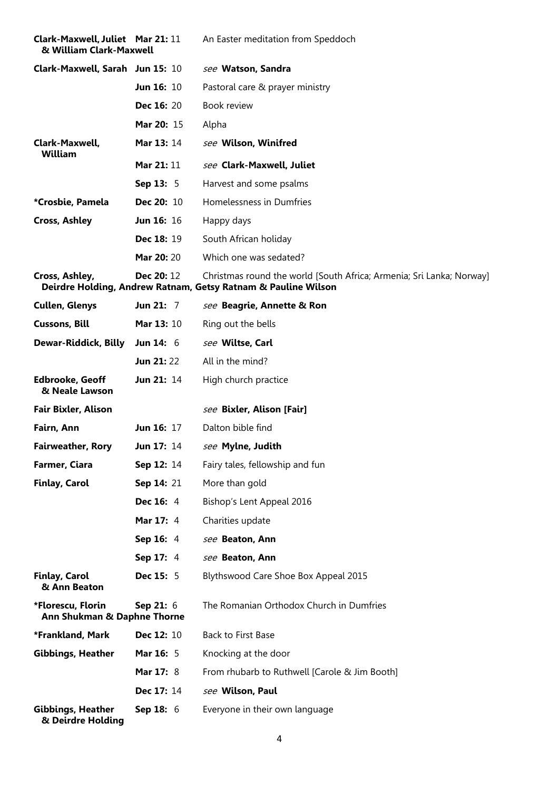| <b>Clark-Maxwell, Juliet Mar 21: 11</b><br>& William Clark-Maxwell |                   | An Easter meditation from Speddoch                                                                                                    |
|--------------------------------------------------------------------|-------------------|---------------------------------------------------------------------------------------------------------------------------------------|
| Clark-Maxwell, Sarah Jun 15: 10                                    |                   | see Watson, Sandra                                                                                                                    |
|                                                                    | <b>Jun 16: 10</b> | Pastoral care & prayer ministry                                                                                                       |
|                                                                    | <b>Dec 16: 20</b> | Book review                                                                                                                           |
|                                                                    | Mar 20: 15        | Alpha                                                                                                                                 |
| Clark-Maxwell,<br><b>William</b>                                   | <b>Mar 13: 14</b> | see Wilson, Winifred                                                                                                                  |
|                                                                    | <b>Mar 21: 11</b> | see Clark-Maxwell, Juliet                                                                                                             |
|                                                                    | <b>Sep 13: 5</b>  | Harvest and some psalms                                                                                                               |
| *Crosbie, Pamela                                                   | <b>Dec 20: 10</b> | Homelessness in Dumfries                                                                                                              |
| <b>Cross, Ashley</b>                                               | <b>Jun 16: 16</b> | Happy days                                                                                                                            |
|                                                                    | <b>Dec 18: 19</b> | South African holiday                                                                                                                 |
|                                                                    | Mar 20: 20        | Which one was sedated?                                                                                                                |
| Cross, Ashley,                                                     | <b>Dec 20: 12</b> | Christmas round the world [South Africa; Armenia; Sri Lanka; Norway]<br>Deirdre Holding, Andrew Ratnam, Getsy Ratnam & Pauline Wilson |
| <b>Cullen, Glenys</b>                                              | Jun 21: 7         | see Beagrie, Annette & Ron                                                                                                            |
| <b>Cussons, Bill</b>                                               | <b>Mar 13: 10</b> | Ring out the bells                                                                                                                    |
| Dewar-Riddick, Billy                                               | Jun 14: $6$       | see Wiltse, Carl                                                                                                                      |
|                                                                    | <b>Jun 21: 22</b> | All in the mind?                                                                                                                      |
| <b>Edbrooke, Geoff</b><br>& Neale Lawson                           | Jun 21: 14        | High church practice                                                                                                                  |
| <b>Fair Bixler, Alison</b>                                         |                   | see Bixler, Alison [Fair]                                                                                                             |
| Fairn, Ann                                                         | Jun 16: 17        | Dalton bible find                                                                                                                     |
| <b>Fairweather, Rory</b>                                           | <b>Jun 17: 14</b> | see Mylne, Judith                                                                                                                     |
| Farmer, Ciara                                                      | Sep 12: 14        | Fairy tales, fellowship and fun                                                                                                       |
| Finlay, Carol                                                      | Sep 14: 21        | More than gold                                                                                                                        |
|                                                                    | Dec 16: 4         | Bishop's Lent Appeal 2016                                                                                                             |
|                                                                    | <b>Mar 17: 4</b>  | Charities update                                                                                                                      |
|                                                                    | Sep 16: 4         | see Beaton, Ann                                                                                                                       |
|                                                                    | <b>Sep 17: 4</b>  | see Beaton, Ann                                                                                                                       |
| <b>Finlay, Carol</b><br>& Ann Beaton                               | <b>Dec 15: 5</b>  | Blythswood Care Shoe Box Appeal 2015                                                                                                  |
| *Florescu, Florin<br>Ann Shukman & Daphne Thorne                   | <b>Sep 21: 6</b>  | The Romanian Orthodox Church in Dumfries                                                                                              |
| *Frankland, Mark                                                   | Dec 12: 10        | Back to First Base                                                                                                                    |
| <b>Gibbings, Heather</b>                                           | <b>Mar 16: 5</b>  | Knocking at the door                                                                                                                  |
|                                                                    | <b>Mar 17: 8</b>  | From rhubarb to Ruthwell [Carole & Jim Booth]                                                                                         |
|                                                                    | Dec 17: 14        | see Wilson, Paul                                                                                                                      |
| <b>Gibbings, Heather</b><br>& Deirdre Holding                      | <b>Sep 18: 6</b>  | Everyone in their own language                                                                                                        |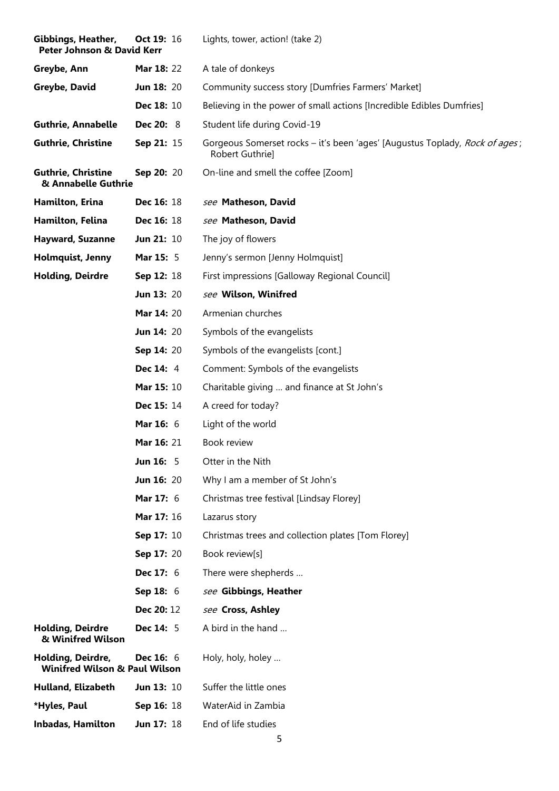| Gibbings, Heather,<br><b>Peter Johnson &amp; David Kerr</b>   | <b>Oct 19: 16</b> | Lights, tower, action! (take 2)                                                                |
|---------------------------------------------------------------|-------------------|------------------------------------------------------------------------------------------------|
| Greybe, Ann                                                   | <b>Mar 18: 22</b> | A tale of donkeys                                                                              |
| Greybe, David                                                 | <b>Jun 18: 20</b> | Community success story [Dumfries Farmers' Market]                                             |
|                                                               | Dec 18: 10        | Believing in the power of small actions [Incredible Edibles Dumfries]                          |
| <b>Guthrie, Annabelle</b>                                     | <b>Dec 20: 8</b>  | Student life during Covid-19                                                                   |
| <b>Guthrie, Christine</b>                                     | <b>Sep 21: 15</b> | Gorgeous Somerset rocks – it's been 'ages' [Augustus Toplady, Rock of ages;<br>Robert Guthrie] |
| <b>Guthrie, Christine</b><br>& Annabelle Guthrie              | Sep 20: 20        | On-line and smell the coffee [Zoom]                                                            |
| Hamilton, Erina                                               | <b>Dec 16: 18</b> | see Matheson, David                                                                            |
| Hamilton, Felina                                              | Dec 16: 18        | see Matheson, David                                                                            |
| <b>Hayward, Suzanne</b>                                       | <b>Jun 21: 10</b> | The joy of flowers                                                                             |
| Holmquist, Jenny                                              | <b>Mar 15: 5</b>  | Jenny's sermon [Jenny Holmquist]                                                               |
| <b>Holding, Deirdre</b>                                       | Sep 12: 18        | First impressions [Galloway Regional Council]                                                  |
|                                                               | <b>Jun 13: 20</b> | see Wilson, Winifred                                                                           |
|                                                               | Mar 14: 20        | Armenian churches                                                                              |
|                                                               | <b>Jun 14: 20</b> | Symbols of the evangelists                                                                     |
|                                                               | Sep 14: 20        | Symbols of the evangelists [cont.]                                                             |
|                                                               | Dec 14: 4         | Comment: Symbols of the evangelists                                                            |
|                                                               | Mar 15: 10        | Charitable giving  and finance at St John's                                                    |
|                                                               | Dec 15: 14        | A creed for today?                                                                             |
|                                                               | Mar 16: 6         | Light of the world                                                                             |
|                                                               | Mar 16: 21        | Book review                                                                                    |
|                                                               | <b>Jun 16: 5</b>  | Otter in the Nith                                                                              |
|                                                               | <b>Jun 16: 20</b> | Why I am a member of St John's                                                                 |
|                                                               | <b>Mar 17: 6</b>  | Christmas tree festival [Lindsay Florey]                                                       |
|                                                               | Mar 17: 16        | Lazarus story                                                                                  |
|                                                               | Sep 17: 10        | Christmas trees and collection plates [Tom Florey]                                             |
|                                                               | <b>Sep 17: 20</b> | Book review[s]                                                                                 |
|                                                               | Dec 17: 6         | There were shepherds                                                                           |
|                                                               | Sep 18: 6         | see Gibbings, Heather                                                                          |
|                                                               | <b>Dec 20: 12</b> | see Cross, Ashley                                                                              |
| <b>Holding, Deirdre</b><br>& Winifred Wilson                  | Dec 14: 5         | A bird in the hand                                                                             |
| Holding, Deirdre,<br><b>Winifred Wilson &amp; Paul Wilson</b> | Dec $16:6$        | Holy, holy, holey                                                                              |
| Hulland, Elizabeth                                            | Jun $13:10$       | Suffer the little ones                                                                         |
| *Hyles, Paul                                                  | <b>Sep 16: 18</b> | WaterAid in Zambia                                                                             |
| <b>Inbadas, Hamilton</b>                                      | <b>Jun 17: 18</b> | End of life studies                                                                            |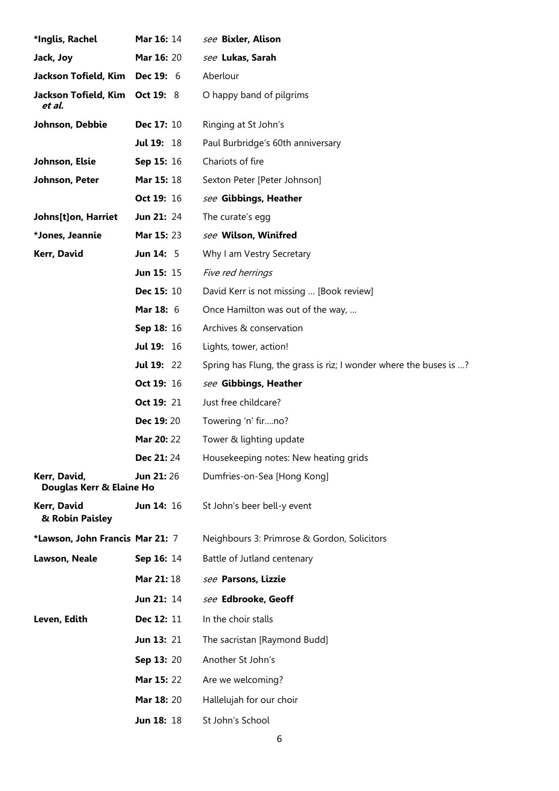| *Inglis, Rachel                          | <b>Mar 16: 14</b> | see Bixler, Alison                                                |
|------------------------------------------|-------------------|-------------------------------------------------------------------|
| Jack, Joy                                | Mar 16: 20        | see Lukas, Sarah                                                  |
| Jackson Tofield, Kim                     | <b>Dec 19: 6</b>  | Aberlour                                                          |
| Jackson Tofield, Kim<br>et al.           | <b>Oct 19: 8</b>  | O happy band of pilgrims                                          |
| Johnson, Debbie                          | Dec 17: 10        | Ringing at St John's                                              |
|                                          | <b>Jul 19: 18</b> | Paul Burbridge's 60th anniversary                                 |
| Johnson, Elsie                           | Sep 15: 16        | Chariots of fire                                                  |
| Johnson, Peter                           | <b>Mar 15: 18</b> | Sexton Peter [Peter Johnson]                                      |
|                                          | Oct 19: 16        | see Gibbings, Heather                                             |
| Johns[t]on, Harriet                      | <b>Jun 21: 24</b> | The curate's egg                                                  |
| *Jones, Jeannie                          | Mar 15: 23        | see Wilson, Winifred                                              |
| Kerr, David                              | <b>Jun 14: 5</b>  | Why I am Vestry Secretary                                         |
|                                          | Jun 15: 15        | Five red herrings                                                 |
|                                          | <b>Dec 15: 10</b> | David Kerr is not missing  [Book review]                          |
|                                          | <b>Mar 18: 6</b>  | Once Hamilton was out of the way,                                 |
|                                          | Sep 18: 16        | Archives & conservation                                           |
|                                          | <b>Jul 19: 16</b> | Lights, tower, action!                                            |
|                                          | <b>Jul 19: 22</b> | Spring has Flung, the grass is riz; I wonder where the buses is ? |
|                                          | Oct 19: 16        | see Gibbings, Heather                                             |
|                                          | Oct 19: 21        | Just free childcare?                                              |
|                                          | <b>Dec 19:20</b>  | Towering 'n' firno?                                               |
|                                          | <b>Mar 20: 22</b> | Tower & lighting update                                           |
|                                          | Dec 21:24         | Housekeeping notes: New heating grids                             |
| Kerr, David,<br>Douglas Kerr & Elaine Ho | <b>Jun 21:</b> 26 | Dumfries-on-Sea [Hong Kong]                                       |
| Kerr, David<br>& Robin Paisley           | Jun 14: 16        | St John's beer bell-y event                                       |
| *Lawson, John Francis Mar 21: 7          |                   | Neighbours 3: Primrose & Gordon, Solicitors                       |
| Lawson, Neale                            | Sep 16: 14        | Battle of Jutland centenary                                       |
|                                          | <b>Mar 21: 18</b> | see Parsons, Lizzie                                               |
|                                          | Jun 21: 14        | see Edbrooke, Geoff                                               |
| Leven, Edith                             | Dec 12: 11        | In the choir stalls                                               |
|                                          | <b>Jun 13: 21</b> | The sacristan [Raymond Budd]                                      |
|                                          | Sep 13: 20        | Another St John's                                                 |
|                                          | Mar 15: 22        | Are we welcoming?                                                 |
|                                          | Mar 18: 20        | Hallelujah for our choir                                          |
|                                          | Jun 18: 18        | St John's School                                                  |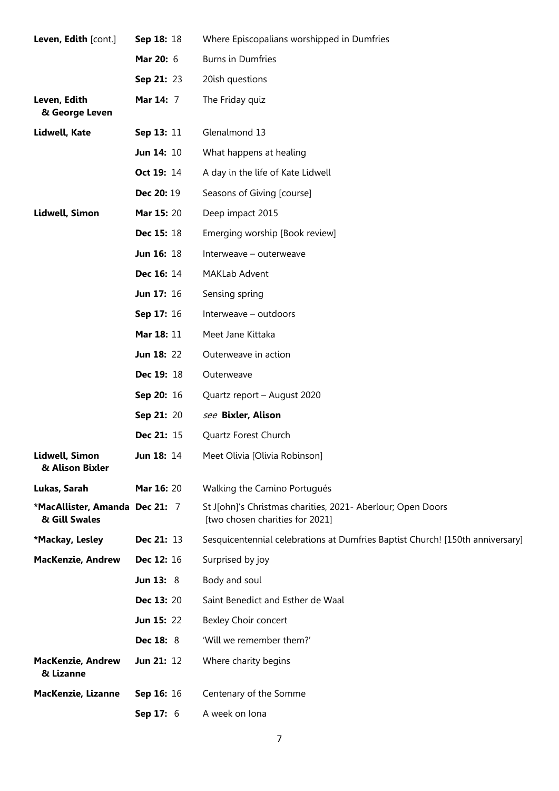| Leven, Edith [cont.]                            | Sep 18: 18        | Where Episcopalians worshipped in Dumfries                                                     |
|-------------------------------------------------|-------------------|------------------------------------------------------------------------------------------------|
|                                                 | <b>Mar 20: 6</b>  | <b>Burns in Dumfries</b>                                                                       |
|                                                 | Sep 21: 23        | 20ish questions                                                                                |
| Leven, Edith<br>& George Leven                  | <b>Mar 14: 7</b>  | The Friday quiz                                                                                |
| Lidwell, Kate                                   | Sep 13: 11        | Glenalmond 13                                                                                  |
|                                                 | <b>Jun 14: 10</b> | What happens at healing                                                                        |
|                                                 | Oct 19: 14        | A day in the life of Kate Lidwell                                                              |
|                                                 | Dec 20: 19        | Seasons of Giving [course]                                                                     |
| Lidwell, Simon                                  | Mar 15: 20        | Deep impact 2015                                                                               |
|                                                 | Dec 15: 18        | Emerging worship [Book review]                                                                 |
|                                                 | Jun 16: 18        | Interweave - outerweave                                                                        |
|                                                 | Dec 16: 14        | MAKLab Advent                                                                                  |
|                                                 | Jun 17: 16        | Sensing spring                                                                                 |
|                                                 | Sep 17: 16        | Interweave - outdoors                                                                          |
|                                                 | Mar 18: 11        | Meet Jane Kittaka                                                                              |
|                                                 | <b>Jun 18: 22</b> | Outerweave in action                                                                           |
|                                                 | Dec 19: 18        | Outerweave                                                                                     |
|                                                 | Sep 20: 16        | Quartz report - August 2020                                                                    |
|                                                 | Sep 21: 20        | see Bixler, Alison                                                                             |
|                                                 | Dec 21: 15        | Quartz Forest Church                                                                           |
| Lidwell, Simon<br>& Alison Bixler               | <b>Jun 18: 14</b> | Meet Olivia [Olivia Robinson]                                                                  |
| Lukas, Sarah                                    | Mar 16: 20        | Walking the Camino Portugués                                                                   |
| *MacAllister, Amanda Dec 21: 7<br>& Gill Swales |                   | St J[ohn]'s Christmas charities, 2021- Aberlour; Open Doors<br>[two chosen charities for 2021] |
| *Mackay, Lesley                                 | Dec 21: 13        | Sesquicentennial celebrations at Dumfries Baptist Church! [150th anniversary]                  |
| <b>MacKenzie, Andrew</b>                        | Dec 12: 16        | Surprised by joy                                                                               |
|                                                 | <b>Jun 13: 8</b>  | Body and soul                                                                                  |
|                                                 | <b>Dec 13: 20</b> | Saint Benedict and Esther de Waal                                                              |
|                                                 | <b>Jun 15: 22</b> | Bexley Choir concert                                                                           |
|                                                 | <b>Dec 18: 8</b>  | 'Will we remember them?'                                                                       |
| <b>MacKenzie, Andrew</b><br>& Lizanne           | <b>Jun 21: 12</b> | Where charity begins                                                                           |
| MacKenzie, Lizanne                              | Sep 16: 16        | Centenary of the Somme                                                                         |
|                                                 | <b>Sep 17: 6</b>  | A week on lona                                                                                 |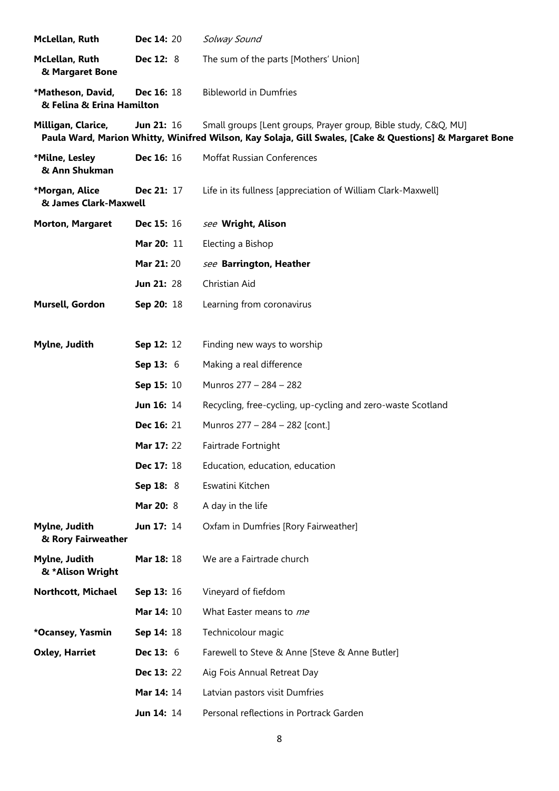| McLellan, Ruth                                 | Dec 14: 20         | Solway Sound                                                                                                                                                              |
|------------------------------------------------|--------------------|---------------------------------------------------------------------------------------------------------------------------------------------------------------------------|
| McLellan, Ruth<br>& Margaret Bone              | Dec 12: 8          | The sum of the parts [Mothers' Union]                                                                                                                                     |
| *Matheson, David,<br>& Felina & Erina Hamilton | <b>Dec 16: 18</b>  | <b>Bibleworld in Dumfries</b>                                                                                                                                             |
| Milligan, Clarice,                             | <b>Jun 21: 16</b>  | Small groups [Lent groups, Prayer group, Bible study, C&Q, MU]<br>Paula Ward, Marion Whitty, Winifred Wilson, Kay Solaja, Gill Swales, [Cake & Questions] & Margaret Bone |
| *Milne, Lesley<br>& Ann Shukman                | Dec 16: 16         | Moffat Russian Conferences                                                                                                                                                |
| *Morgan, Alice<br>& James Clark-Maxwell        | Dec 21: 17         | Life in its fullness [appreciation of William Clark-Maxwell]                                                                                                              |
| <b>Morton, Margaret</b>                        | <b>Dec 15: 16</b>  | see Wright, Alison                                                                                                                                                        |
|                                                | Mar 20: 11         | Electing a Bishop                                                                                                                                                         |
|                                                | Mar 21:20          | see Barrington, Heather                                                                                                                                                   |
|                                                | Jun 21: 28         | Christian Aid                                                                                                                                                             |
| Mursell, Gordon                                | Sep 20: 18         | Learning from coronavirus                                                                                                                                                 |
|                                                |                    |                                                                                                                                                                           |
| Mylne, Judith                                  | Sep 12: 12         | Finding new ways to worship                                                                                                                                               |
|                                                | <b>Sep 13:</b> $6$ | Making a real difference                                                                                                                                                  |
|                                                | Sep 15: 10         | Munros 277 - 284 - 282                                                                                                                                                    |
|                                                | <b>Jun 16: 14</b>  | Recycling, free-cycling, up-cycling and zero-waste Scotland                                                                                                               |
|                                                | <b>Dec 16: 21</b>  | Munros 277 - 284 - 282 [cont.]                                                                                                                                            |
|                                                | Mar 17: 22         | Fairtrade Fortnight                                                                                                                                                       |
|                                                | Dec 17: 18         | Education, education, education                                                                                                                                           |
|                                                | Sep 18: 8          | Eswatini Kitchen                                                                                                                                                          |
|                                                | Mar 20: 8          | A day in the life                                                                                                                                                         |
| Mylne, Judith<br>& Rory Fairweather            | Jun 17: 14         | Oxfam in Dumfries [Rory Fairweather]                                                                                                                                      |
| Mylne, Judith<br>& *Alison Wright              | Mar 18: 18         | We are a Fairtrade church                                                                                                                                                 |
| Northcott, Michael                             | Sep 13: 16         | Vineyard of fiefdom                                                                                                                                                       |
|                                                | Mar 14: 10         | What Easter means to me                                                                                                                                                   |
| *Ocansey, Yasmin                               | Sep 14: 18         | Technicolour magic                                                                                                                                                        |
| <b>Oxley, Harriet</b>                          | <b>Dec 13: 6</b>   | Farewell to Steve & Anne [Steve & Anne Butler]                                                                                                                            |
|                                                | <b>Dec 13: 22</b>  | Aig Fois Annual Retreat Day                                                                                                                                               |
|                                                | Mar 14: 14         | Latvian pastors visit Dumfries                                                                                                                                            |
|                                                | Jun 14: 14         | Personal reflections in Portrack Garden                                                                                                                                   |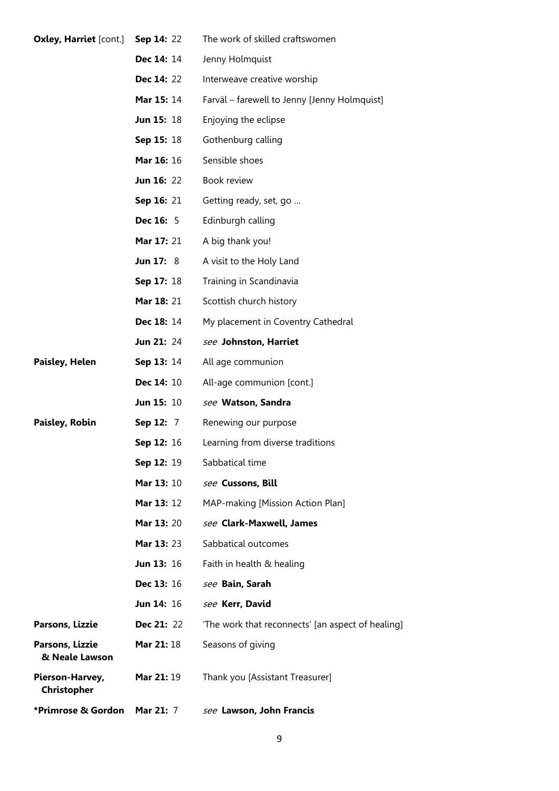| <b>Oxley, Harriet [cont.]</b>     | Sep 14: 22        | The work of skilled craftswomen                   |
|-----------------------------------|-------------------|---------------------------------------------------|
|                                   | <b>Dec 14: 14</b> | Jenny Holmquist                                   |
|                                   | <b>Dec 14: 22</b> | Interweave creative worship                       |
|                                   | <b>Mar 15: 14</b> | Farväl - farewell to Jenny [Jenny Holmquist]      |
|                                   | <b>Jun 15: 18</b> | Enjoying the eclipse                              |
|                                   | <b>Sep 15: 18</b> | Gothenburg calling                                |
|                                   | <b>Mar 16: 16</b> | Sensible shoes                                    |
|                                   | <b>Jun 16: 22</b> | Book review                                       |
|                                   | <b>Sep 16: 21</b> | Getting ready, set, go                            |
|                                   | <b>Dec 16: 5</b>  | Edinburgh calling                                 |
|                                   | <b>Mar 17: 21</b> | A big thank you!                                  |
|                                   | Jun $17:8$        | A visit to the Holy Land                          |
|                                   | <b>Sep 17: 18</b> | Training in Scandinavia                           |
|                                   | <b>Mar 18: 21</b> | Scottish church history                           |
|                                   | <b>Dec 18: 14</b> | My placement in Coventry Cathedral                |
|                                   | <b>Jun 21: 24</b> | see Johnston, Harriet                             |
| Paisley, Helen                    | <b>Sep 13: 14</b> | All age communion                                 |
|                                   | <b>Dec 14: 10</b> | All-age communion [cont.]                         |
|                                   | <b>Jun 15: 10</b> | see Watson, Sandra                                |
| Paisley, Robin                    | <b>Sep 12: 7</b>  | Renewing our purpose                              |
|                                   | <b>Sep 12: 16</b> | Learning from diverse traditions                  |
|                                   | Sep 12: 19        | Sabbatical time                                   |
|                                   | <b>Mar 13: 10</b> | see Cussons, Bill                                 |
|                                   | <b>Mar 13: 12</b> | MAP-making [Mission Action Plan]                  |
|                                   | <b>Mar 13: 20</b> | see Clark-Maxwell, James                          |
|                                   | Mar 13: 23        | Sabbatical outcomes                               |
|                                   | <b>Jun 13: 16</b> | Faith in health & healing                         |
|                                   | <b>Dec 13: 16</b> | see Bain, Sarah                                   |
|                                   | <b>Jun 14: 16</b> | see Kerr, David                                   |
| Parsons, Lizzie                   | <b>Dec 21: 22</b> | 'The work that reconnects' [an aspect of healing] |
| Parsons, Lizzie<br>& Neale Lawson | Mar 21: 18        | Seasons of giving                                 |
| Pierson-Harvey,<br>Christopher    | Mar 21: 19        | Thank you [Assistant Treasurer]                   |
| *Primrose & Gordon                | <b>Mar 21: 7</b>  | see Lawson, John Francis                          |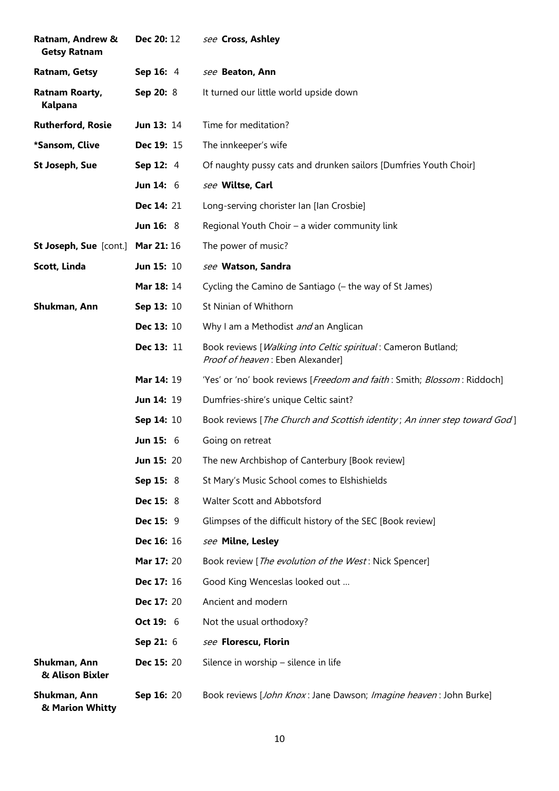| Ratnam, Andrew &<br><b>Getsy Ratnam</b> | <b>Dec 20: 12</b> | see Cross, Ashley                                                                                 |
|-----------------------------------------|-------------------|---------------------------------------------------------------------------------------------------|
| Ratnam, Getsy                           | Sep 16: 4         | see Beaton, Ann                                                                                   |
| Ratnam Roarty,<br>Kalpana               | Sep 20: 8         | It turned our little world upside down                                                            |
| <b>Rutherford, Rosie</b>                | <b>Jun 13: 14</b> | Time for meditation?                                                                              |
| *Sansom, Clive                          | Dec 19: 15        | The innkeeper's wife                                                                              |
| <b>St Joseph, Sue</b>                   | Sep 12: 4         | Of naughty pussy cats and drunken sailors [Dumfries Youth Choir]                                  |
|                                         | Jun $14:6$        | see Wiltse, Carl                                                                                  |
|                                         | Dec 14: 21        | Long-serving chorister Ian [Ian Crosbie]                                                          |
|                                         | <b>Jun 16: 8</b>  | Regional Youth Choir - a wider community link                                                     |
| St Joseph, Sue [cont.] Mar 21: 16       |                   | The power of music?                                                                               |
| Scott, Linda                            | Jun 15: 10        | see Watson, Sandra                                                                                |
|                                         | <b>Mar 18: 14</b> | Cycling the Camino de Santiago (– the way of St James)                                            |
| Shukman, Ann                            | Sep 13: 10        | St Ninian of Whithorn                                                                             |
|                                         | Dec 13: 10        | Why I am a Methodist and an Anglican                                                              |
|                                         | Dec 13: 11        | Book reviews [Walking into Celtic spiritual: Cameron Butland;<br>Proof of heaven: Eben Alexander] |
|                                         | <b>Mar 14: 19</b> | 'Yes' or 'no' book reviews [Freedom and faith: Smith; Blossom: Riddoch]                           |
|                                         | Jun 14: 19        | Dumfries-shire's unique Celtic saint?                                                             |
|                                         | Sep 14: 10        | Book reviews [The Church and Scottish identity; An inner step toward God]                         |
|                                         | <b>Jun 15: 6</b>  | Going on retreat                                                                                  |
|                                         | Jun 15: 20        | The new Archbishop of Canterbury [Book review]                                                    |
|                                         | Sep 15: 8         | St Mary's Music School comes to Elshishields                                                      |
|                                         | <b>Dec 15: 8</b>  | Walter Scott and Abbotsford                                                                       |
|                                         | <b>Dec 15: 9</b>  | Glimpses of the difficult history of the SEC [Book review]                                        |
|                                         | Dec 16: 16        | see Milne, Lesley                                                                                 |
|                                         | Mar 17: 20        | Book review [The evolution of the West: Nick Spencer]                                             |
|                                         | Dec 17: 16        | Good King Wenceslas looked out                                                                    |
|                                         | Dec 17: 20        | Ancient and modern                                                                                |
|                                         | Oct 19: 6         | Not the usual orthodoxy?                                                                          |
|                                         | Sep 21: 6         | see Florescu, Florin                                                                              |
| Shukman, Ann<br>& Alison Bixler         | <b>Dec 15: 20</b> | Silence in worship - silence in life                                                              |
| Shukman, Ann<br>& Marion Whitty         | Sep 16: 20        | Book reviews [John Knox: Jane Dawson; Imagine heaven: John Burke]                                 |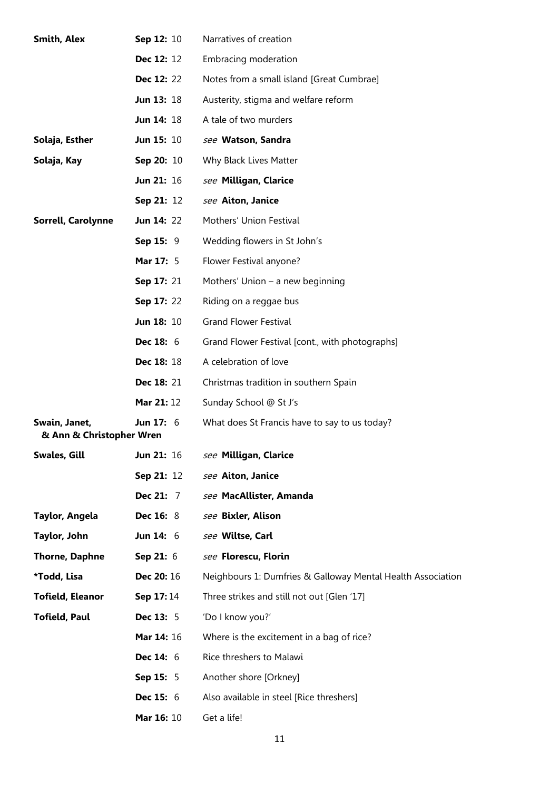| <b>Smith, Alex</b>                        | Sep 12: 10        | Narratives of creation                                      |
|-------------------------------------------|-------------------|-------------------------------------------------------------|
|                                           | Dec 12: 12        | Embracing moderation                                        |
|                                           | <b>Dec 12: 22</b> | Notes from a small island [Great Cumbrae]                   |
|                                           | Jun 13: 18        | Austerity, stigma and welfare reform                        |
|                                           | <b>Jun 14: 18</b> | A tale of two murders                                       |
| Solaja, Esther                            | <b>Jun 15: 10</b> | see Watson, Sandra                                          |
| Solaja, Kay                               | Sep 20: 10        | Why Black Lives Matter                                      |
|                                           | Jun 21: 16        | see Milligan, Clarice                                       |
|                                           | Sep 21: 12        | see Aiton, Janice                                           |
| Sorrell, Carolynne                        | <b>Jun 14: 22</b> | Mothers' Union Festival                                     |
|                                           | Sep 15: 9         | Wedding flowers in St John's                                |
|                                           | Mar 17: 5         | Flower Festival anyone?                                     |
|                                           | <b>Sep 17: 21</b> | Mothers' Union $-$ a new beginning                          |
|                                           | <b>Sep 17: 22</b> | Riding on a reggae bus                                      |
|                                           | <b>Jun 18: 10</b> | <b>Grand Flower Festival</b>                                |
|                                           | <b>Dec 18: 6</b>  | Grand Flower Festival [cont., with photographs]             |
|                                           | Dec 18: 18        | A celebration of love                                       |
|                                           | Dec 18: 21        | Christmas tradition in southern Spain                       |
|                                           | Mar 21: 12        | Sunday School @ St J's                                      |
| Swain, Janet,<br>& Ann & Christopher Wren | Jun 17: $6$       | What does St Francis have to say to us today?               |
| <b>Swales, Gill</b>                       | Jun 21: 16        | see Milligan, Clarice                                       |
|                                           | Sep 21: 12        | see Aiton, Janice                                           |
|                                           | Dec 21: 7         | see MacAllister, Amanda                                     |
| Taylor, Angela                            | <b>Dec 16: 8</b>  | see Bixler, Alison                                          |
| Taylor, John                              | Jun $14:6$        | see Wiltse, Carl                                            |
| <b>Thorne, Daphne</b>                     | Sep 21: 6         | see Florescu, Florin                                        |
| *Todd, Lisa                               | <b>Dec 20: 16</b> | Neighbours 1: Dumfries & Galloway Mental Health Association |
| <b>Tofield, Eleanor</b>                   | Sep 17:14         | Three strikes and still not out [Glen '17]                  |
| <b>Tofield, Paul</b>                      | <b>Dec 13: 5</b>  | 'Do I know you?'                                            |
|                                           | Mar 14: 16        | Where is the excitement in a bag of rice?                   |
|                                           | <b>Dec 14: 6</b>  | Rice threshers to Malawi                                    |
|                                           | <b>Sep 15: 5</b>  | Another shore [Orkney]                                      |
|                                           | <b>Dec 15: 6</b>  | Also available in steel [Rice threshers]                    |
|                                           | Mar 16: 10        | Get a life!                                                 |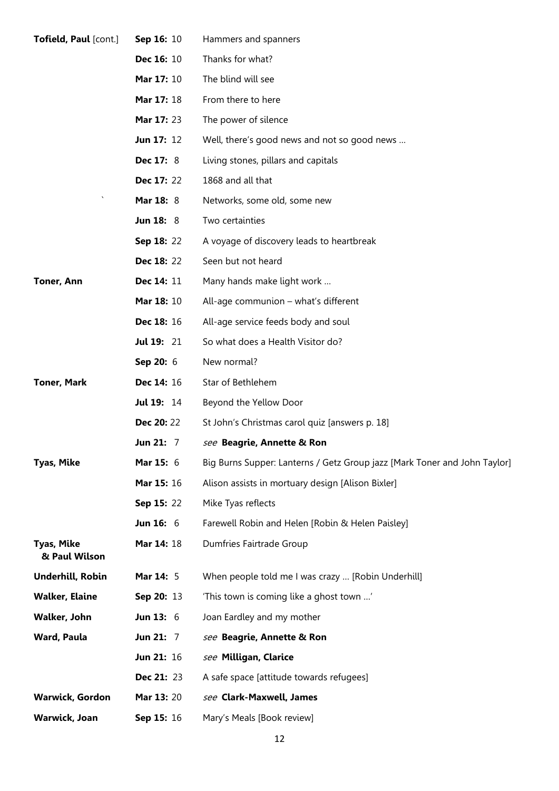| Tofield, Paul [cont.]              | Sep 16: 10        | Hammers and spanners                                                      |  |  |
|------------------------------------|-------------------|---------------------------------------------------------------------------|--|--|
|                                    | Dec 16: 10        | Thanks for what?                                                          |  |  |
|                                    | <b>Mar 17: 10</b> | The blind will see                                                        |  |  |
| Mar 17: 18                         |                   | From there to here                                                        |  |  |
|                                    | Mar 17: 23        | The power of silence                                                      |  |  |
|                                    | Jun 17: 12        | Well, there's good news and not so good news                              |  |  |
|                                    | Dec 17: 8         | Living stones, pillars and capitals                                       |  |  |
|                                    | Dec 17: 22        | 1868 and all that                                                         |  |  |
|                                    | Mar 18: 8         | Networks, some old, some new                                              |  |  |
|                                    | <b>Jun 18: 8</b>  | Two certainties                                                           |  |  |
|                                    | <b>Sep 18: 22</b> | A voyage of discovery leads to heartbreak                                 |  |  |
|                                    | Dec 18: 22        | Seen but not heard                                                        |  |  |
| Toner, Ann                         | Dec 14: 11        | Many hands make light work                                                |  |  |
|                                    | Mar 18: 10        | All-age communion – what's different                                      |  |  |
|                                    | Dec 18: 16        | All-age service feeds body and soul                                       |  |  |
|                                    | <b>Jul 19: 21</b> | So what does a Health Visitor do?                                         |  |  |
|                                    | Sep 20: 6         | New normal?                                                               |  |  |
| <b>Toner, Mark</b><br>Dec 14: 16   |                   | Star of Bethlehem                                                         |  |  |
|                                    | <b>Jul 19: 14</b> | Beyond the Yellow Door                                                    |  |  |
|                                    | <b>Dec 20: 22</b> | St John's Christmas carol quiz [answers p. 18]                            |  |  |
|                                    | Jun 21: 7         | see Beagrie, Annette & Ron                                                |  |  |
| <b>Tyas, Mike</b>                  | Mar 15: 6         | Big Burns Supper: Lanterns / Getz Group jazz [Mark Toner and John Taylor] |  |  |
|                                    | Mar 15: 16        | Alison assists in mortuary design [Alison Bixler]                         |  |  |
|                                    | Sep 15: 22        | Mike Tyas reflects                                                        |  |  |
|                                    | <b>Jun 16: 6</b>  | Farewell Robin and Helen [Robin & Helen Paisley]                          |  |  |
| <b>Tyas, Mike</b><br>& Paul Wilson | Mar 14: 18        | Dumfries Fairtrade Group                                                  |  |  |
| Underhill, Robin                   | Mar 14: 5         | When people told me I was crazy  [Robin Underhill]                        |  |  |
| <b>Walker, Elaine</b>              | Sep 20: 13        | 'This town is coming like a ghost town '                                  |  |  |
| Walker, John                       | Jun 13: $6$       | Joan Eardley and my mother                                                |  |  |
| Ward, Paula                        | Jun 21: 7         | see Beagrie, Annette & Ron                                                |  |  |
|                                    | Jun 21: 16        | see Milligan, Clarice                                                     |  |  |
|                                    | <b>Dec 21: 23</b> | A safe space [attitude towards refugees]                                  |  |  |
| <b>Warwick, Gordon</b>             | <b>Mar 13: 20</b> | see Clark-Maxwell, James                                                  |  |  |
| Warwick, Joan                      | Sep 15: 16        | Mary's Meals [Book review]                                                |  |  |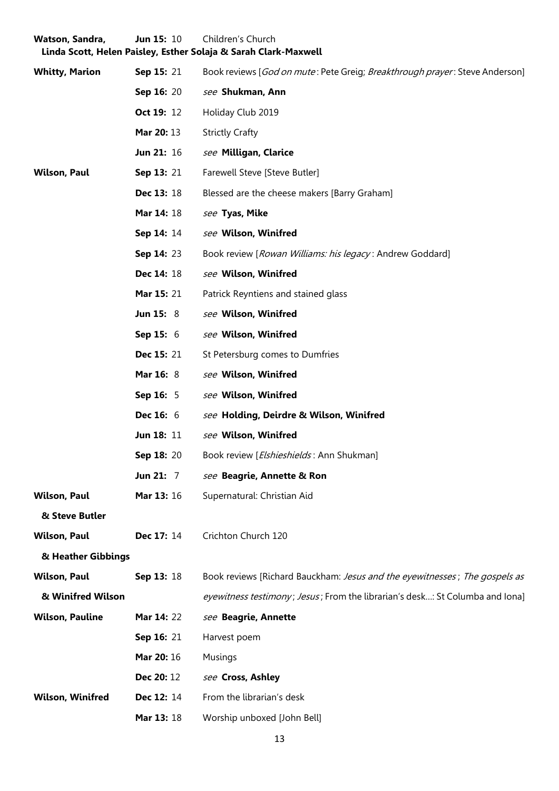| Watson, Sandra,         | <b>Jun 15: 10</b>  | Children's Church<br>Linda Scott, Helen Paisley, Esther Solaja & Sarah Clark-Maxwell         |  |
|-------------------------|--------------------|----------------------------------------------------------------------------------------------|--|
| <b>Whitty, Marion</b>   | <b>Sep 15: 21</b>  | Book reviews [ <i>God on mute</i> : Pete Greig; <i>Breakthrough prayer</i> : Steve Anderson] |  |
|                         | <b>Sep 16: 20</b>  | see Shukman, Ann                                                                             |  |
|                         | Oct 19: 12         | Holiday Club 2019                                                                            |  |
|                         | Mar 20: 13         | <b>Strictly Crafty</b>                                                                       |  |
|                         | <b>Jun 21: 16</b>  | see Milligan, Clarice                                                                        |  |
| <b>Wilson, Paul</b>     | Sep 13: 21         | Farewell Steve [Steve Butler]                                                                |  |
|                         | <b>Dec 13: 18</b>  | Blessed are the cheese makers [Barry Graham]                                                 |  |
|                         | <b>Mar 14: 18</b>  | see Tyas, Mike                                                                               |  |
|                         | Sep 14: 14         | see Wilson, Winifred                                                                         |  |
|                         | <b>Sep 14: 23</b>  | Book review [Rowan Williams: his legacy: Andrew Goddard]                                     |  |
|                         | <b>Dec 14: 18</b>  | see Wilson, Winifred                                                                         |  |
|                         | <b>Mar 15: 21</b>  | Patrick Reyntiens and stained glass                                                          |  |
|                         | <b>Jun 15: 8</b>   | see Wilson, Winifred                                                                         |  |
|                         | <b>Sep 15:</b> $6$ | see Wilson, Winifred                                                                         |  |
|                         | <b>Dec 15: 21</b>  | St Petersburg comes to Dumfries                                                              |  |
|                         | <b>Mar 16: 8</b>   | see Wilson, Winifred                                                                         |  |
|                         | <b>Sep 16: 5</b>   | see Wilson, Winifred                                                                         |  |
|                         | <b>Dec 16: 6</b>   | see Holding, Deirdre & Wilson, Winifred                                                      |  |
|                         | Jun 18: 11         | see Wilson, Winifred                                                                         |  |
|                         | Sep 18: 20         | Book review [Elshieshields: Ann Shukman]                                                     |  |
|                         | Jun $21: 7$        | see Beagrie, Annette & Ron                                                                   |  |
| <b>Wilson, Paul</b>     | <b>Mar 13: 16</b>  | Supernatural: Christian Aid                                                                  |  |
| & Steve Butler          |                    |                                                                                              |  |
| <b>Wilson, Paul</b>     | Dec 17: 14         | Crichton Church 120                                                                          |  |
| & Heather Gibbings      |                    |                                                                                              |  |
| <b>Wilson, Paul</b>     | Sep 13: 18         | Book reviews [Richard Bauckham: Jesus and the eyewitnesses; The gospels as                   |  |
| & Winifred Wilson       |                    | eyewitness testimony; Jesus; From the librarian's desk: St Columba and Iona]                 |  |
| <b>Wilson, Pauline</b>  | <b>Mar 14: 22</b>  | see Beagrie, Annette                                                                         |  |
|                         | Sep 16: 21         | Harvest poem                                                                                 |  |
|                         | Mar 20: 16         | <b>Musings</b>                                                                               |  |
|                         | Dec 20: 12         | see Cross, Ashley                                                                            |  |
| <b>Wilson, Winifred</b> | Dec 12: 14         | From the librarian's desk                                                                    |  |
|                         | Mar 13: 18         | Worship unboxed [John Bell]                                                                  |  |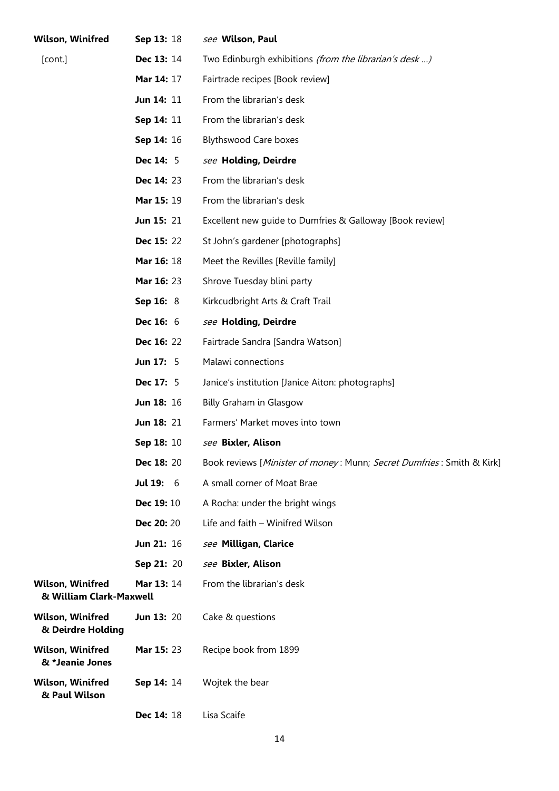| <b>Wilson, Winifred</b>                            | Sep 13: 18        | see Wilson, Paul                                                      |
|----------------------------------------------------|-------------------|-----------------------------------------------------------------------|
| [cont.]                                            | <b>Dec 13: 14</b> | Two Edinburgh exhibitions (from the librarian's desk)                 |
|                                                    | <b>Mar 14: 17</b> | Fairtrade recipes [Book review]                                       |
|                                                    | Jun 14: 11        | From the librarian's desk                                             |
|                                                    | Sep 14: 11        | From the librarian's desk                                             |
|                                                    | Sep 14: 16        | <b>Blythswood Care boxes</b>                                          |
|                                                    | <b>Dec 14: 5</b>  | see Holding, Deirdre                                                  |
|                                                    | <b>Dec 14: 23</b> | From the librarian's desk                                             |
|                                                    | Mar 15: 19        | From the librarian's desk                                             |
|                                                    | <b>Jun 15: 21</b> | Excellent new guide to Dumfries & Galloway [Book review]              |
|                                                    | <b>Dec 15: 22</b> | St John's gardener [photographs]                                      |
|                                                    | <b>Mar 16: 18</b> | Meet the Revilles [Reville family]                                    |
|                                                    | Mar 16: 23        | Shrove Tuesday blini party                                            |
|                                                    | Sep 16: 8         | Kirkcudbright Arts & Craft Trail                                      |
|                                                    | <b>Dec 16: 6</b>  | see Holding, Deirdre                                                  |
|                                                    | <b>Dec 16: 22</b> | Fairtrade Sandra [Sandra Watson]                                      |
|                                                    | <b>Jun 17: 5</b>  | Malawi connections                                                    |
|                                                    | <b>Dec 17: 5</b>  | Janice's institution [Janice Aiton: photographs]                      |
|                                                    | <b>Jun 18: 16</b> | Billy Graham in Glasgow                                               |
|                                                    | <b>Jun 18: 21</b> | Farmers' Market moves into town                                       |
|                                                    | Sep 18: 10        | see Bixler, Alison                                                    |
|                                                    | Dec 18: 20        | Book reviews [Minister of money: Munn; Secret Dumfries: Smith & Kirk] |
|                                                    | <b>Jul 19: 6</b>  | A small corner of Moat Brae                                           |
|                                                    | <b>Dec 19: 10</b> | A Rocha: under the bright wings                                       |
|                                                    | Dec 20: 20        | Life and faith - Winifred Wilson                                      |
|                                                    | Jun 21: 16        | see Milligan, Clarice                                                 |
|                                                    | Sep 21: 20        | see Bixler, Alison                                                    |
| <b>Wilson, Winifred</b><br>& William Clark-Maxwell | <b>Mar 13: 14</b> | From the librarian's desk                                             |
| <b>Wilson, Winifred</b><br>& Deirdre Holding       | <b>Jun 13: 20</b> | Cake & questions                                                      |
| <b>Wilson, Winifred</b><br>& *Jeanie Jones         | Mar 15: 23        | Recipe book from 1899                                                 |
| <b>Wilson, Winifred</b><br>& Paul Wilson           | Sep 14: 14        | Wojtek the bear                                                       |
|                                                    | Dec 14: 18        | Lisa Scaife                                                           |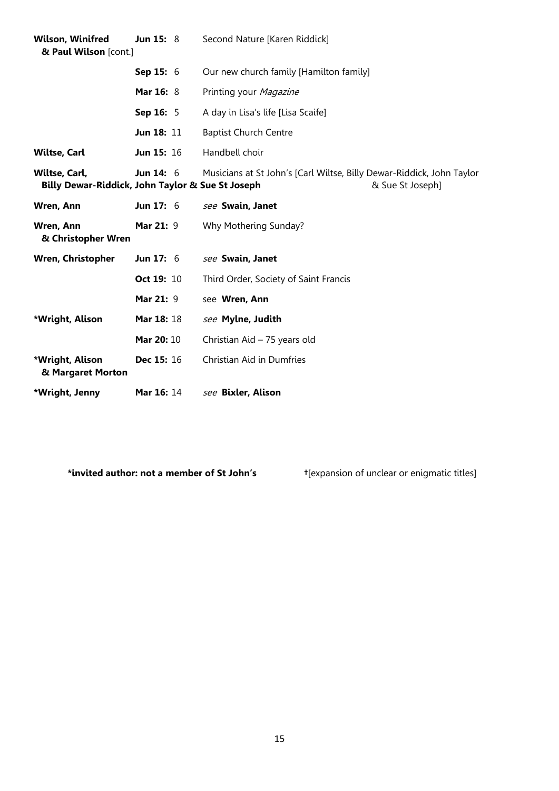| <b>Wilson, Winifred</b><br>& Paul Wilson [cont.]                  | <b>Jun 15: 8</b>  | Second Nature [Karen Riddick]                                                             |  |
|-------------------------------------------------------------------|-------------------|-------------------------------------------------------------------------------------------|--|
|                                                                   | Sep 15: 6         | Our new church family [Hamilton family]                                                   |  |
|                                                                   | <b>Mar 16: 8</b>  | Printing your Magazine                                                                    |  |
|                                                                   | Sep 16: 5         | A day in Lisa's life [Lisa Scaife]                                                        |  |
|                                                                   | Jun 18: 11        | <b>Baptist Church Centre</b>                                                              |  |
| <b>Wiltse, Carl</b>                                               | Jun 15: 16        | Handbell choir                                                                            |  |
| Wiltse, Carl,<br>Billy Dewar-Riddick, John Taylor & Sue St Joseph | <b>Jun 14: 6</b>  | Musicians at St John's [Carl Wiltse, Billy Dewar-Riddick, John Taylor<br>& Sue St Joseph] |  |
| Wren, Ann                                                         | Jun $17:6$        | see Swain, Janet                                                                          |  |
| Wren, Ann<br>& Christopher Wren                                   | Mar 21: 9         | Why Mothering Sunday?                                                                     |  |
| <b>Wren, Christopher</b>                                          | Jun $17:6$        | see Swain, Janet                                                                          |  |
|                                                                   | Oct 19: 10        | Third Order, Society of Saint Francis                                                     |  |
|                                                                   | Mar 21: 9         | see Wren, Ann                                                                             |  |
| *Wright, Alison                                                   | Mar 18: 18        | see Mylne, Judith                                                                         |  |
|                                                                   | Mar 20: 10        | Christian Aid - 75 years old                                                              |  |
| *Wright, Alison<br>& Margaret Morton                              | Dec 15: 16        | Christian Aid in Dumfries                                                                 |  |
| *Wright, Jenny                                                    | <b>Mar 16: 14</b> | see Bixler, Alison                                                                        |  |

**\*invited author: not a member of St John's †**[expansion of unclear or enigmatic titles]